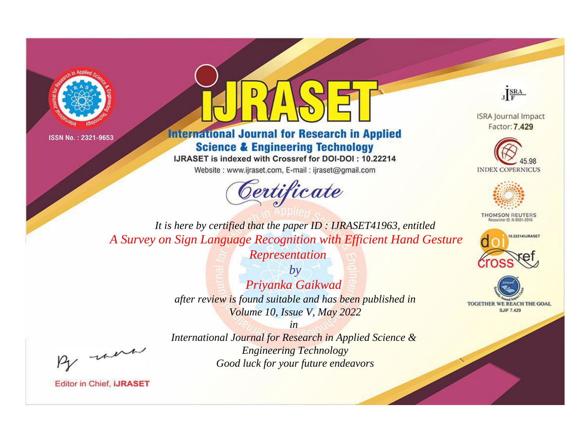



**International Journal for Research in Applied Science & Engineering Technology** 

IJRASET is indexed with Crossref for DOI-DOI: 10.22214

Website: www.ijraset.com, E-mail: ijraset@gmail.com





**ISRA Journal Impact** Factor: 7.429





**THOMSON REUTERS** 



TOGETHER WE REACH THE GOAL **SJIF 7.429** 

*It is here by certified that the paper ID : IJRASET41963, entitled A Survey on Sign Language Recognition with Efficient Hand Gesture* 

*Representation*

*by Priyanka Gaikwad after review is found suitable and has been published in Volume 10, Issue V, May 2022*

*in International Journal for Research in Applied Science & Engineering Technology Good luck for your future endeavors*

, were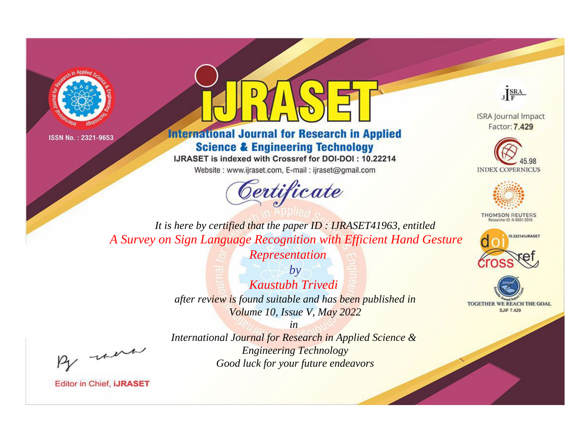



**International Journal for Research in Applied Science & Engineering Technology** 

IJRASET is indexed with Crossref for DOI-DOI: 10.22214

Website: www.ijraset.com, E-mail: ijraset@gmail.com





**ISRA Journal Impact** Factor: 7.429





**THOMSON REUTERS** 



TOGETHER WE REACH THE GOAL **SJIF 7.429** 

*It is here by certified that the paper ID : IJRASET41963, entitled A Survey on Sign Language Recognition with Efficient Hand Gesture* 

*Representation*

*by Kaustubh Trivedi after review is found suitable and has been published in Volume 10, Issue V, May 2022*

*in* 

*International Journal for Research in Applied Science & Engineering Technology Good luck for your future endeavors*

, were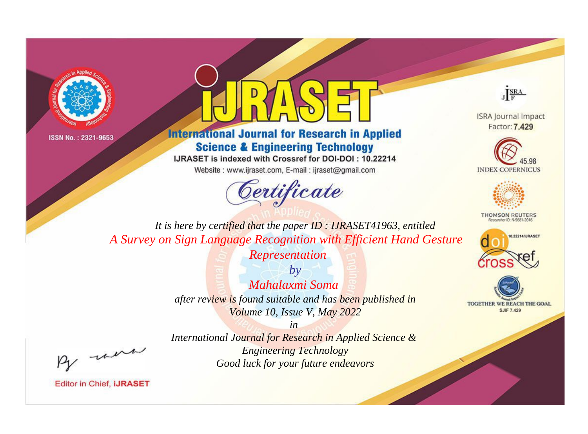



**International Journal for Research in Applied Science & Engineering Technology** 

IJRASET is indexed with Crossref for DOI-DOI: 10.22214

Website: www.ijraset.com, E-mail: ijraset@gmail.com





**ISRA Journal Impact** Factor: 7.429





**THOMSON REUTERS** 



TOGETHER WE REACH THE GOAL **SJIF 7.429** 

*It is here by certified that the paper ID : IJRASET41963, entitled A Survey on Sign Language Recognition with Efficient Hand Gesture* 

*Representation*

*by Mahalaxmi Soma after review is found suitable and has been published in Volume 10, Issue V, May 2022*

, un

*International Journal for Research in Applied Science & Engineering Technology Good luck for your future endeavors*

*in*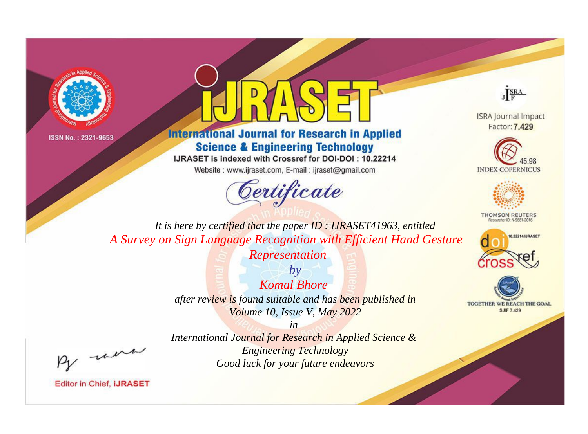



**International Journal for Research in Applied Science & Engineering Technology** 

IJRASET is indexed with Crossref for DOI-DOI: 10.22214

Website: www.ijraset.com, E-mail: ijraset@gmail.com





**ISRA Journal Impact** Factor: 7.429





**THOMSON REUTERS** 



TOGETHER WE REACH THE GOAL **SJIF 7.429** 

*It is here by certified that the paper ID : IJRASET41963, entitled A Survey on Sign Language Recognition with Efficient Hand Gesture* 

*Representation*

*by Komal Bhore after review is found suitable and has been published in Volume 10, Issue V, May 2022*

, un

*International Journal for Research in Applied Science & Engineering Technology Good luck for your future endeavors*

*in*